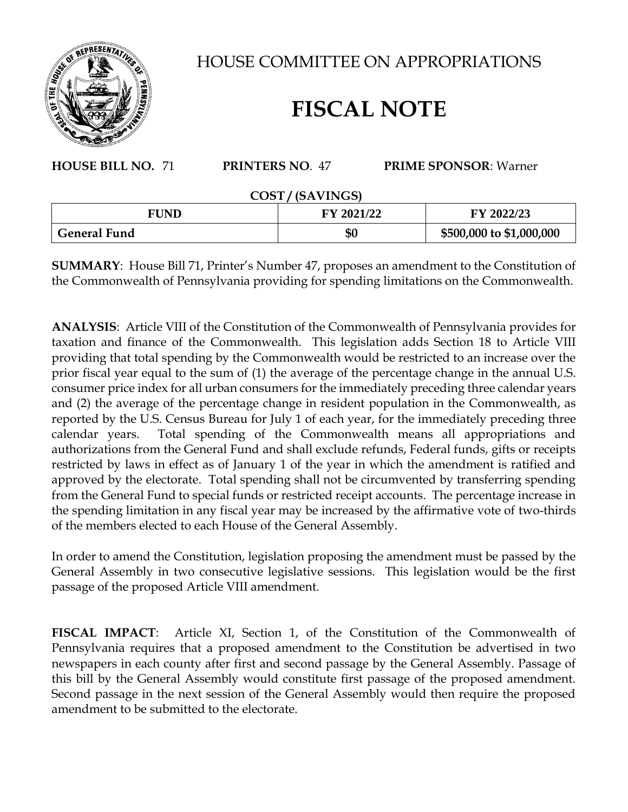

HOUSE COMMITTEE ON APPROPRIATIONS

## **FISCAL NOTE**

## **HOUSE BILL NO.** 71 **PRINTERS NO**. 47 **PRIME SPONSOR**: Warner

## **COST / (SAVINGS)**

| <b>FUND</b>         | FY 2021/22 | FY 2022/23               |
|---------------------|------------|--------------------------|
| <b>General Fund</b> | \$0        | \$500,000 to \$1,000,000 |

**SUMMARY**: House Bill 71, Printer's Number 47, proposes an amendment to the Constitution of the Commonwealth of Pennsylvania providing for spending limitations on the Commonwealth.

**ANALYSIS**: Article VIII of the Constitution of the Commonwealth of Pennsylvania provides for taxation and finance of the Commonwealth. This legislation adds Section 18 to Article VIII providing that total spending by the Commonwealth would be restricted to an increase over the prior fiscal year equal to the sum of (1) the average of the percentage change in the annual U.S. consumer price index for all urban consumers for the immediately preceding three calendar years and (2) the average of the percentage change in resident population in the Commonwealth, as reported by the U.S. Census Bureau for July 1 of each year, for the immediately preceding three calendar years. Total spending of the Commonwealth means all appropriations and authorizations from the General Fund and shall exclude refunds, Federal funds, gifts or receipts restricted by laws in effect as of January 1 of the year in which the amendment is ratified and approved by the electorate. Total spending shall not be circumvented by transferring spending from the General Fund to special funds or restricted receipt accounts. The percentage increase in the spending limitation in any fiscal year may be increased by the affirmative vote of two-thirds of the members elected to each House of the General Assembly.

In order to amend the Constitution, legislation proposing the amendment must be passed by the General Assembly in two consecutive legislative sessions. This legislation would be the first passage of the proposed Article VIII amendment.

**FISCAL IMPACT**: Article XI, Section 1, of the Constitution of the Commonwealth of Pennsylvania requires that a proposed amendment to the Constitution be advertised in two newspapers in each county after first and second passage by the General Assembly. Passage of this bill by the General Assembly would constitute first passage of the proposed amendment. Second passage in the next session of the General Assembly would then require the proposed amendment to be submitted to the electorate.